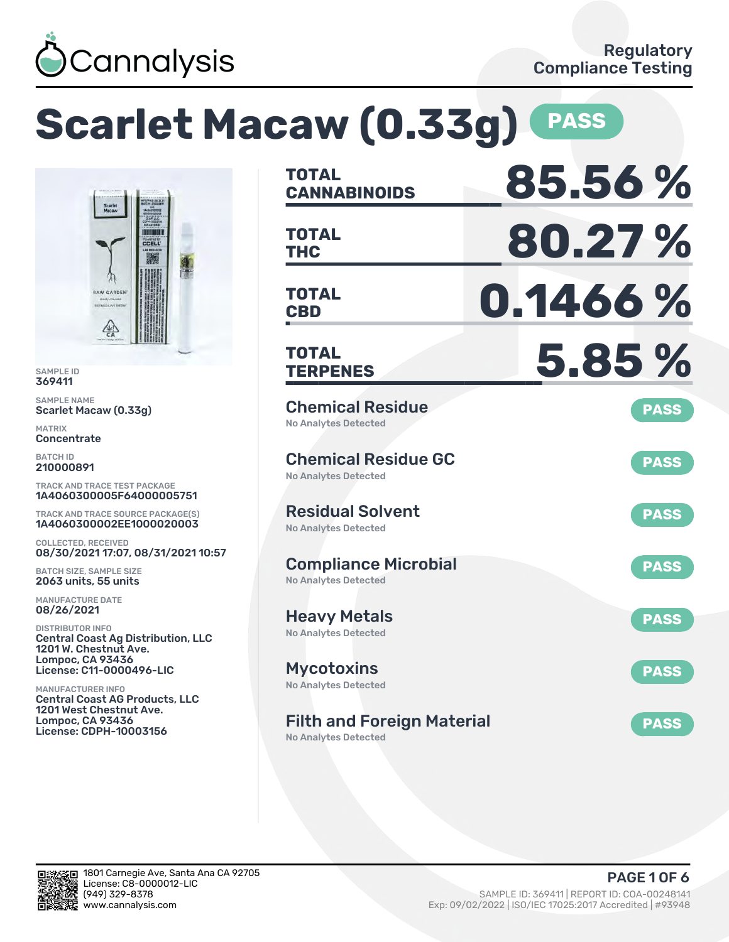

### **Scarlet Macaw (0.33g) PASS CANNABINOIDS 85.56 % TOTAL THC 80.27 % TOTAL** CCELL **CBD 0.1466 % TOTAL TERPENES 5.85 % TOTAL** Chemical Residue **PASS** Scarlet Macaw (0.33g) No Analytes Detected Chemical Residue GC **PASS** No Analytes Detected TRACK AND TRACE TEST PACKAGE 1A4060300005F64000005751 Residual Solvent TRACK AND TRACE SOURCE PACKAGE(S) **PASS** 1A4060300002EE1000020003 No Analytes Detected 08/30/2021 17:07, 08/31/2021 10:57 Compliance Microbial **PASS** BATCH SIZE, SAMPLE SIZE No Analytes Detected Heavy Metals **PASS** No Analytes Detected Central Coast Ag Distribution, LLC 1201 W. Chestnut Ave. License: C11-0000496-LIC Mycotoxins **PASS** No Analytes Detected Central Coast AG Products, LLC 1201 West Chestnut Ave. Filth and Foreign Material **PASS** License: CDPH-10003156 No Analytes Detected

SAMPLE ID 369411 SAMPLE NAME

RAW GARDEN

MATRIX **Concentrate** BATCH ID 210000891

COLLECTED, RECEIVED

2063 units, 55 units MANUFACTURE DATE 08/26/2021 DISTRIBUTOR INFO

Lompoc, CA 93436

MANUFACTURER INFO

Lompoc, CA 93436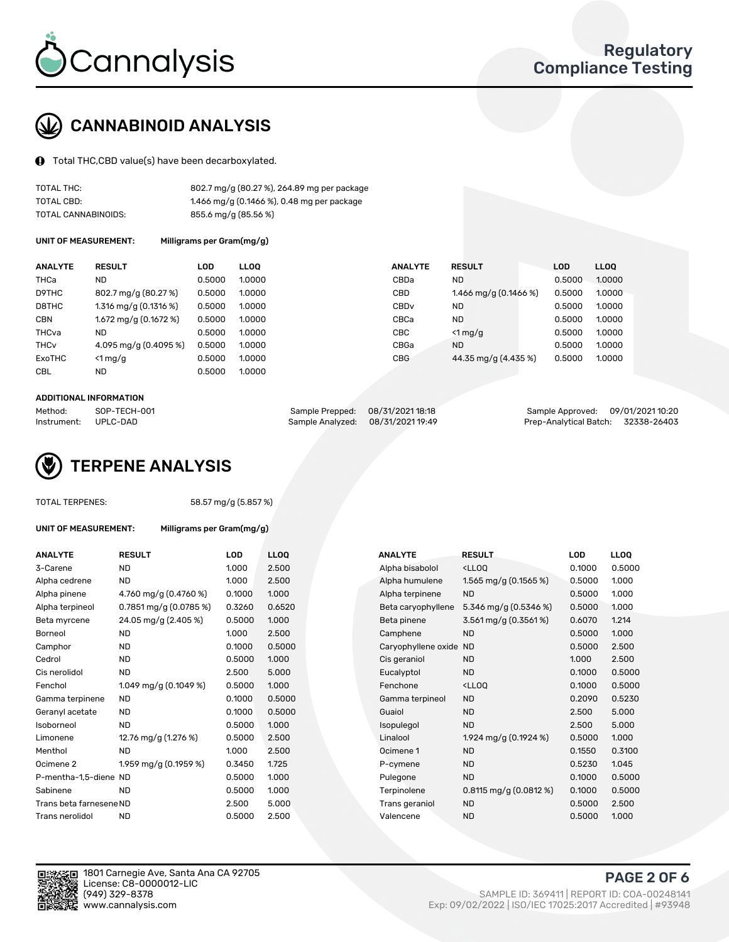

# CANNABINOID ANALYSIS

Total THC,CBD value(s) have been decarboxylated.

| TOTAL THC:          | 802.7 mg/g (80.27 %), 264.89 mg per package |
|---------------------|---------------------------------------------|
| TOTAL CBD:          | 1.466 mg/g (0.1466 %), 0.48 mg per package  |
| TOTAL CANNABINOIDS: | 855.6 mg/g (85.56 %)                        |

UNIT OF MEASUREMENT: Milligrams per Gram(mg/g)

| <b>ANALYTE</b>         | <b>RESULT</b>           | <b>LOD</b> | <b>LLOO</b> | <b>ANALYTE</b>   | <b>RESULT</b>           | <b>LOD</b> | LL <sub>00</sub> |
|------------------------|-------------------------|------------|-------------|------------------|-------------------------|------------|------------------|
| THCa                   | <b>ND</b>               | 0.5000     | 1.0000      | CBDa             | <b>ND</b>               | 0.5000     | 1.0000           |
| D9THC                  | 802.7 mg/g (80.27 %)    | 0.5000     | 1.0000      | CBD              | 1.466 mg/g $(0.1466\%)$ | 0.5000     | 1.0000           |
| D8THC                  | $1.316$ mg/g (0.1316 %) | 0.5000     | 1.0000      | CBD <sub>v</sub> | <b>ND</b>               | 0.5000     | 1.0000           |
| <b>CBN</b>             | $1.672$ mg/g (0.1672 %) | 0.5000     | 1.0000      | CBCa             | <b>ND</b>               | 0.5000     | 1.0000           |
| THCva                  | <b>ND</b>               | 0.5000     | 1.0000      | <b>CBC</b>       | $<$ 1 mg/g              | 0.5000     | 1.0000           |
| <b>THC<sub>v</sub></b> | 4.095 mg/g (0.4095 %)   | 0.5000     | 1.0000      | CBGa             | <b>ND</b>               | 0.5000     | 1.0000           |
| ExoTHC                 | $<$ 1 mg/g              | 0.5000     | 1.0000      | <b>CBG</b>       | 44.35 mg/g (4.435 %)    | 0.5000     | 1.0000           |
| <b>CBL</b>             | <b>ND</b>               | 0.5000     | 1.0000      |                  |                         |            |                  |
|                        |                         |            |             |                  |                         |            |                  |

#### ADDITIONAL INFORMATION

| Method:     | SOP-TECH-001 | Sample Prepped: 08/31/2021 18:18  | Sample Approved: 09/01/2021 10:20  |  |
|-------------|--------------|-----------------------------------|------------------------------------|--|
| Instrument: | UPLC-DAD     | Sample Analyzed: 08/31/2021 19:49 | Prep-Analytical Batch: 32338-26403 |  |



TOTAL TERPENES: 58.57 mg/g (5.857 %)

| ANALYTE                 | <b>RESULT</b>              | <b>LOD</b> | <b>LLOQ</b> | <b>ANALYTE</b>         | <b>RESULT</b>                                      | LOD    | <b>LLOQ</b> |
|-------------------------|----------------------------|------------|-------------|------------------------|----------------------------------------------------|--------|-------------|
| 3-Carene                | <b>ND</b>                  | 1.000      | 2.500       | Alpha bisabolol        | <lloq< td=""><td>0.1000</td><td>0.500</td></lloq<> | 0.1000 | 0.500       |
| Alpha cedrene           | <b>ND</b>                  | 1.000      | 2.500       | Alpha humulene         | 1.565 mg/g $(0.1565%)$                             | 0.5000 | 1.000       |
| Alpha pinene            | 4.760 mg/g (0.4760 %)      | 0.1000     | 1.000       | Alpha terpinene        | <b>ND</b>                                          | 0.5000 | 1.000       |
| Alpha terpineol         | $0.7851$ mg/g $(0.0785\%)$ | 0.3260     | 0.6520      | Beta caryophyllene     | 5.346 mg/g $(0.5346\%)$                            | 0.5000 | 1.000       |
| Beta myrcene            | 24.05 mg/g (2.405 %)       | 0.5000     | 1.000       | Beta pinene            | 3.561 mg/g (0.3561%)                               | 0.6070 | 1.214       |
| Borneol                 | <b>ND</b>                  | 1.000      | 2.500       | Camphene               | <b>ND</b>                                          | 0.5000 | 1.000       |
| Camphor                 | <b>ND</b>                  | 0.1000     | 0.5000      | Caryophyllene oxide ND |                                                    | 0.5000 | 2.500       |
| Cedrol                  | <b>ND</b>                  | 0.5000     | 1.000       | Cis geraniol           | <b>ND</b>                                          | 1.000  | 2.500       |
| Cis nerolidol           | <b>ND</b>                  | 2.500      | 5.000       | Eucalyptol             | <b>ND</b>                                          | 0.1000 | 0.500       |
| Fenchol                 | 1.049 mg/g $(0.1049%)$     | 0.5000     | 1.000       | Fenchone               | <lloo< td=""><td>0.1000</td><td>0.500</td></lloo<> | 0.1000 | 0.500       |
| Gamma terpinene         | ND.                        | 0.1000     | 0.5000      | Gamma terpineol        | <b>ND</b>                                          | 0.2090 | 0.523       |
| Geranyl acetate         | <b>ND</b>                  | 0.1000     | 0.5000      | Guaiol                 | <b>ND</b>                                          | 2.500  | 5.000       |
| Isoborneol              | <b>ND</b>                  | 0.5000     | 1.000       | Isopulegol             | <b>ND</b>                                          | 2.500  | 5.000       |
| Limonene                | 12.76 mg/g (1.276 %)       | 0.5000     | 2.500       | Linalool               | 1.924 mg/g (0.1924 %)                              | 0.5000 | 1.000       |
| Menthol                 | <b>ND</b>                  | 1.000      | 2.500       | Ocimene 1              | <b>ND</b>                                          | 0.1550 | 0.310       |
| Ocimene 2               | 1.959 mg/g (0.1959 %)      | 0.3450     | 1.725       | P-cymene               | <b>ND</b>                                          | 0.5230 | 1.045       |
| P-mentha-1,5-diene ND   |                            | 0.5000     | 1.000       | Pulegone               | <b>ND</b>                                          | 0.1000 | 0.500       |
| Sabinene                | <b>ND</b>                  | 0.5000     | 1.000       | Terpinolene            | $0.8115$ mg/g $(0.0812%)$                          | 0.1000 | 0.500       |
| Trans beta farnesene ND |                            | 2.500      | 5.000       | Trans geraniol         | <b>ND</b>                                          | 0.5000 | 2.500       |
| Trans nerolidol         | <b>ND</b>                  | 0.5000     | 2.500       | Valencene              | <b>ND</b>                                          | 0.5000 | 1.000       |

UNIT OF MEASUREMENT: Milligrams per Gram(mg/g)

| <b>ANALY I E</b>        | <b>KESULI</b>              | LUD    | LLUQ   | <b>ANALYIE</b>      | <b>KESULI</b>                                       | LUD    | <b>LLUU</b> |
|-------------------------|----------------------------|--------|--------|---------------------|-----------------------------------------------------|--------|-------------|
| 3-Carene                | <b>ND</b>                  | 1.000  | 2.500  | Alpha bisabolol     | <lloq< td=""><td>0.1000</td><td>0.5000</td></lloq<> | 0.1000 | 0.5000      |
| Alpha cedrene           | ND                         | 1.000  | 2.500  | Alpha humulene      | 1.565 mg/g $(0.1565\%)$                             | 0.5000 | 1.000       |
| Alpha pinene            | 4.760 mg/g $(0.4760\%)$    | 0.1000 | 1.000  | Alpha terpinene     | <b>ND</b>                                           | 0.5000 | 1.000       |
| Alpha terpineol         | $0.7851$ mg/g $(0.0785\%)$ | 0.3260 | 0.6520 | Beta caryophyllene  | 5.346 mg/g $(0.5346\%)$                             | 0.5000 | 1.000       |
| Beta myrcene            | 24.05 mg/g (2.405 %)       | 0.5000 | 1.000  | Beta pinene         | 3.561 mg/g (0.3561%)                                | 0.6070 | 1.214       |
| Borneol                 | <b>ND</b>                  | 1.000  | 2.500  | Camphene            | <b>ND</b>                                           | 0.5000 | 1.000       |
| Camphor                 | <b>ND</b>                  | 0.1000 | 0.5000 | Caryophyllene oxide | <b>ND</b>                                           | 0.5000 | 2.500       |
| Cedrol                  | <b>ND</b>                  | 0.5000 | 1.000  | Cis geraniol        | <b>ND</b>                                           | 1.000  | 2.500       |
| Cis nerolidol           | <b>ND</b>                  | 2.500  | 5.000  | Eucalyptol          | <b>ND</b>                                           | 0.1000 | 0.5000      |
| Fenchol                 | 1.049 mg/g $(0.1049\%)$    | 0.5000 | 1.000  | Fenchone            | <lloq< td=""><td>0.1000</td><td>0.5000</td></lloq<> | 0.1000 | 0.5000      |
| Gamma terpinene         | <b>ND</b>                  | 0.1000 | 0.5000 | Gamma terpineol     | <b>ND</b>                                           | 0.2090 | 0.5230      |
| Geranyl acetate         | ND.                        | 0.1000 | 0.5000 | Guaiol              | <b>ND</b>                                           | 2.500  | 5.000       |
| Isoborneol              | <b>ND</b>                  | 0.5000 | 1.000  | Isopulegol          | <b>ND</b>                                           | 2.500  | 5.000       |
| Limonene                | 12.76 mg/g (1.276 %)       | 0.5000 | 2.500  | Linalool            | 1.924 mg/g (0.1924 %)                               | 0.5000 | 1.000       |
| Menthol                 | <b>ND</b>                  | 1.000  | 2.500  | Ocimene 1           | <b>ND</b>                                           | 0.1550 | 0.3100      |
| Ocimene 2               | 1.959 mg/g (0.1959 %)      | 0.3450 | 1.725  | P-cymene            | <b>ND</b>                                           | 0.5230 | 1.045       |
| P-mentha-1,5-diene ND   |                            | 0.5000 | 1.000  | Pulegone            | <b>ND</b>                                           | 0.1000 | 0.5000      |
| Sabinene                | <b>ND</b>                  | 0.5000 | 1.000  | Terpinolene         | $0.8115$ mg/g $(0.0812%)$                           | 0.1000 | 0.5000      |
| Trans beta farnesene ND |                            | 2.500  | 5.000  | Trans geraniol      | <b>ND</b>                                           | 0.5000 | 2.500       |
| Trans nerolidol         | <b>ND</b>                  | 0.5000 | 2.500  | Valencene           | <b>ND</b>                                           | 0.5000 | 1.000       |



1801 Carnegie Ave, Santa Ana CA 92705 License: C8-0000012-LIC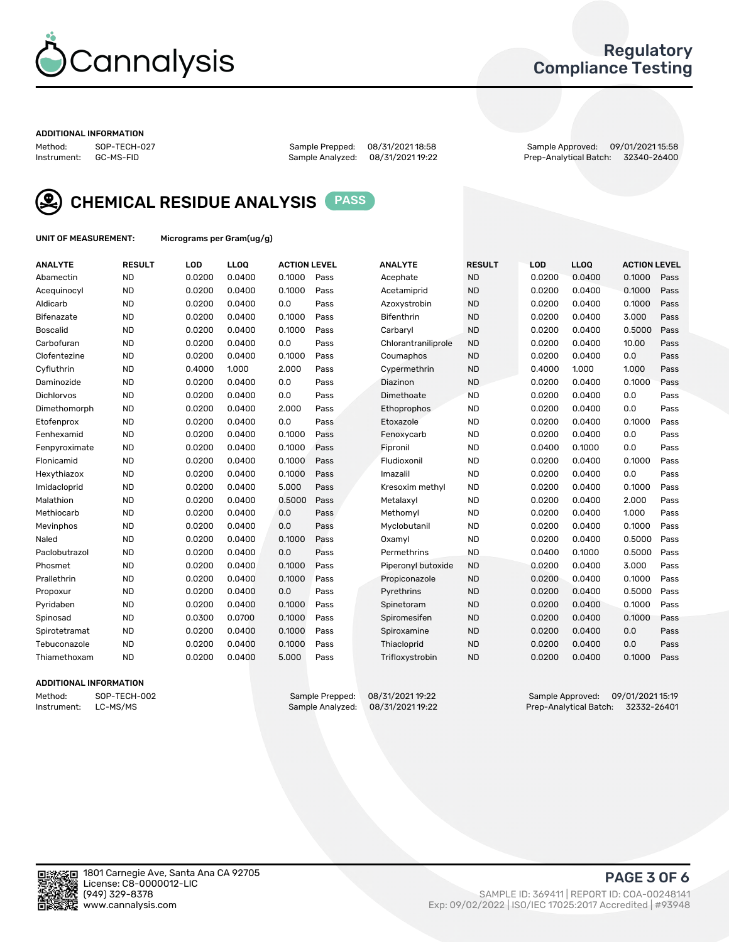

## Regulatory Compliance Testing

#### ADDITIONAL INFORMATION

Method: SOP-TECH-027 Sample Prepped: 08/31/2021 18:58 Sample Approved: 09/01/2021 15:58 Prep-Analytical Batch: 32340-26400



CHEMICAL RESIDUE ANALYSIS PASS

UNIT OF MEASUREMENT: Micrograms per Gram(ug/g)

| <b>ANALYTE</b>    | <b>RESULT</b> | LOD    | LL <sub>OO</sub> | <b>ACTION LEVEL</b> |      | <b>ANALYTE</b>      | <b>RESULT</b> | <b>LOD</b> | <b>LLOQ</b> | <b>ACTION LEVEL</b> |      |
|-------------------|---------------|--------|------------------|---------------------|------|---------------------|---------------|------------|-------------|---------------------|------|
| Abamectin         | <b>ND</b>     | 0.0200 | 0.0400           | 0.1000              | Pass | Acephate            | <b>ND</b>     | 0.0200     | 0.0400      | 0.1000              | Pass |
| Acequinocyl       | <b>ND</b>     | 0.0200 | 0.0400           | 0.1000              | Pass | Acetamiprid         | <b>ND</b>     | 0.0200     | 0.0400      | 0.1000              | Pass |
| Aldicarb          | <b>ND</b>     | 0.0200 | 0.0400           | 0.0                 | Pass | Azoxystrobin        | <b>ND</b>     | 0.0200     | 0.0400      | 0.1000              | Pass |
| Bifenazate        | <b>ND</b>     | 0.0200 | 0.0400           | 0.1000              | Pass | <b>Bifenthrin</b>   | <b>ND</b>     | 0.0200     | 0.0400      | 3.000               | Pass |
| <b>Boscalid</b>   | <b>ND</b>     | 0.0200 | 0.0400           | 0.1000              | Pass | Carbaryl            | <b>ND</b>     | 0.0200     | 0.0400      | 0.5000              | Pass |
| Carbofuran        | <b>ND</b>     | 0.0200 | 0.0400           | 0.0                 | Pass | Chlorantraniliprole | <b>ND</b>     | 0.0200     | 0.0400      | 10.00               | Pass |
| Clofentezine      | <b>ND</b>     | 0.0200 | 0.0400           | 0.1000              | Pass | Coumaphos           | <b>ND</b>     | 0.0200     | 0.0400      | 0.0                 | Pass |
| Cyfluthrin        | <b>ND</b>     | 0.4000 | 1.000            | 2.000               | Pass | Cypermethrin        | <b>ND</b>     | 0.4000     | 1.000       | 1.000               | Pass |
| Daminozide        | <b>ND</b>     | 0.0200 | 0.0400           | 0.0                 | Pass | Diazinon            | <b>ND</b>     | 0.0200     | 0.0400      | 0.1000              | Pass |
| <b>Dichlorvos</b> | <b>ND</b>     | 0.0200 | 0.0400           | 0.0                 | Pass | Dimethoate          | <b>ND</b>     | 0.0200     | 0.0400      | 0.0                 | Pass |
| Dimethomorph      | <b>ND</b>     | 0.0200 | 0.0400           | 2.000               | Pass | Ethoprophos         | <b>ND</b>     | 0.0200     | 0.0400      | 0.0                 | Pass |
| Etofenprox        | <b>ND</b>     | 0.0200 | 0.0400           | 0.0                 | Pass | Etoxazole           | <b>ND</b>     | 0.0200     | 0.0400      | 0.1000              | Pass |
| Fenhexamid        | <b>ND</b>     | 0.0200 | 0.0400           | 0.1000              | Pass | Fenoxycarb          | <b>ND</b>     | 0.0200     | 0.0400      | 0.0                 | Pass |
| Fenpyroximate     | <b>ND</b>     | 0.0200 | 0.0400           | 0.1000              | Pass | Fipronil            | <b>ND</b>     | 0.0400     | 0.1000      | 0.0                 | Pass |
| Flonicamid        | <b>ND</b>     | 0.0200 | 0.0400           | 0.1000              | Pass | Fludioxonil         | <b>ND</b>     | 0.0200     | 0.0400      | 0.1000              | Pass |
| Hexythiazox       | <b>ND</b>     | 0.0200 | 0.0400           | 0.1000              | Pass | Imazalil            | <b>ND</b>     | 0.0200     | 0.0400      | 0.0                 | Pass |
| Imidacloprid      | <b>ND</b>     | 0.0200 | 0.0400           | 5.000               | Pass | Kresoxim methyl     | <b>ND</b>     | 0.0200     | 0.0400      | 0.1000              | Pass |
| Malathion         | <b>ND</b>     | 0.0200 | 0.0400           | 0.5000              | Pass | Metalaxyl           | <b>ND</b>     | 0.0200     | 0.0400      | 2.000               | Pass |
| Methiocarb        | <b>ND</b>     | 0.0200 | 0.0400           | 0.0                 | Pass | Methomyl            | <b>ND</b>     | 0.0200     | 0.0400      | 1.000               | Pass |
| Mevinphos         | <b>ND</b>     | 0.0200 | 0.0400           | 0.0                 | Pass | Myclobutanil        | <b>ND</b>     | 0.0200     | 0.0400      | 0.1000              | Pass |
| Naled             | <b>ND</b>     | 0.0200 | 0.0400           | 0.1000              | Pass | Oxamyl              | <b>ND</b>     | 0.0200     | 0.0400      | 0.5000              | Pass |
| Paclobutrazol     | <b>ND</b>     | 0.0200 | 0.0400           | 0.0                 | Pass | Permethrins         | <b>ND</b>     | 0.0400     | 0.1000      | 0.5000              | Pass |
| Phosmet           | <b>ND</b>     | 0.0200 | 0.0400           | 0.1000              | Pass | Piperonyl butoxide  | <b>ND</b>     | 0.0200     | 0.0400      | 3.000               | Pass |
| Prallethrin       | <b>ND</b>     | 0.0200 | 0.0400           | 0.1000              | Pass | Propiconazole       | <b>ND</b>     | 0.0200     | 0.0400      | 0.1000              | Pass |
| Propoxur          | <b>ND</b>     | 0.0200 | 0.0400           | 0.0                 | Pass | Pyrethrins          | <b>ND</b>     | 0.0200     | 0.0400      | 0.5000              | Pass |
| Pyridaben         | <b>ND</b>     | 0.0200 | 0.0400           | 0.1000              | Pass | Spinetoram          | <b>ND</b>     | 0.0200     | 0.0400      | 0.1000              | Pass |
| Spinosad          | <b>ND</b>     | 0.0300 | 0.0700           | 0.1000              | Pass | Spiromesifen        | <b>ND</b>     | 0.0200     | 0.0400      | 0.1000              | Pass |
| Spirotetramat     | <b>ND</b>     | 0.0200 | 0.0400           | 0.1000              | Pass | Spiroxamine         | <b>ND</b>     | 0.0200     | 0.0400      | 0.0                 | Pass |
| Tebuconazole      | <b>ND</b>     | 0.0200 | 0.0400           | 0.1000              | Pass | Thiacloprid         | <b>ND</b>     | 0.0200     | 0.0400      | 0.0                 | Pass |
| Thiamethoxam      | <b>ND</b>     | 0.0200 | 0.0400           | 5.000               | Pass | Trifloxystrobin     | <b>ND</b>     | 0.0200     | 0.0400      | 0.1000              | Pass |

### ADDITIONAL INFORMATION

Method: SOP-TECH-002 Sample Prepped: 08/31/2021 19:22 Sample Approved: 09/01/2021 15:19<br>Instrument: LC-MS/MS Sample Analyzed: 08/31/2021 19:22 Prep-Analytical Batch: 32332-26401 Prep-Analytical Batch: 32332-26401

PAGE 3 OF 6

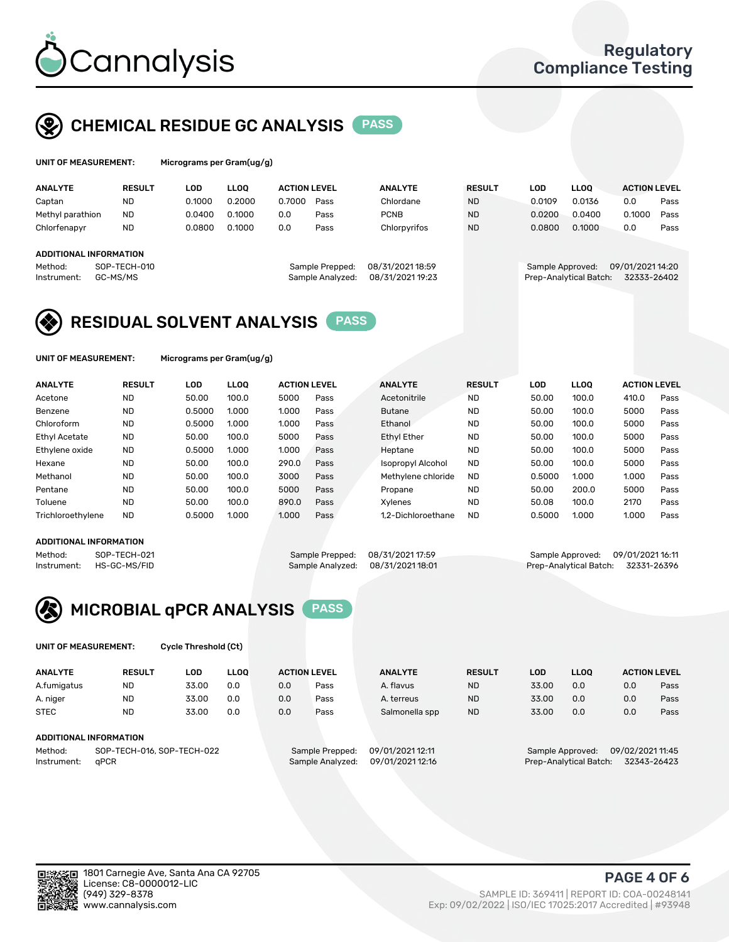

# CHEMICAL RESIDUE GC ANALYSIS PASS

| UNIT OF MEASUREMENT: | Micro |
|----------------------|-------|
|                      |       |

grams per Gram(ug/g)

| <b>ANALYTE</b>                | <b>RESULT</b> | LOD    | <b>LLOO</b> | <b>ACTION LEVEL</b> |                  | <b>ANALYTE</b>   | <b>RESULT</b> | <b>LOD</b>       | <b>LLOO</b>            | <b>ACTION LEVEL</b> |      |
|-------------------------------|---------------|--------|-------------|---------------------|------------------|------------------|---------------|------------------|------------------------|---------------------|------|
| Captan                        | <b>ND</b>     | 0.1000 | 0.2000      | 0.7000              | Pass             | Chlordane        | <b>ND</b>     | 0.0109           | 0.0136                 | 0.0                 | Pass |
| Methyl parathion              | <b>ND</b>     | 0.0400 | 0.1000      | 0.0                 | Pass             | <b>PCNB</b>      | <b>ND</b>     | 0.0200           | 0.0400                 | 0.1000              | Pass |
| Chlorfenapyr                  | <b>ND</b>     | 0.0800 | 0.1000      | 0.0                 | Pass             | Chlorpyrifos     | <b>ND</b>     | 0.0800           | 0.1000                 | 0.0                 | Pass |
|                               |               |        |             |                     |                  |                  |               |                  |                        |                     |      |
| <b>ADDITIONAL INFORMATION</b> |               |        |             |                     |                  |                  |               |                  |                        |                     |      |
| Method:                       | SOP-TECH-010  |        |             |                     | Sample Prepped:  | 08/31/2021 18:59 |               | Sample Approved: |                        | 09/01/2021 14:20    |      |
| Instrument:                   | GC-MS/MS      |        |             |                     | Sample Analyzed: | 08/31/2021 19:23 |               |                  | Prep-Analytical Batch: | 32333-26402         |      |
|                               |               |        |             |                     |                  |                  |               |                  |                        |                     |      |

# RESIDUAL SOLVENT ANALYSIS PASS

UNIT OF MEASUREMENT: Micrograms per Gram(ug/g)

| <b>ANALYTE</b>       | <b>RESULT</b> | LOD    | <b>LLOO</b> | <b>ACTION LEVEL</b> |      | <b>ANALYTE</b>           | <b>RESULT</b> | LOD    | <b>LLOO</b> | <b>ACTION LEVEL</b> |      |
|----------------------|---------------|--------|-------------|---------------------|------|--------------------------|---------------|--------|-------------|---------------------|------|
| Acetone              | <b>ND</b>     | 50.00  | 100.0       | 5000                | Pass | Acetonitrile             | <b>ND</b>     | 50.00  | 100.0       | 410.0               | Pass |
| Benzene              | <b>ND</b>     | 0.5000 | 1.000       | 1.000               | Pass | <b>Butane</b>            | <b>ND</b>     | 50.00  | 100.0       | 5000                | Pass |
| Chloroform           | <b>ND</b>     | 0.5000 | 1.000       | 1.000               | Pass | Ethanol                  | <b>ND</b>     | 50.00  | 100.0       | 5000                | Pass |
| <b>Ethyl Acetate</b> | <b>ND</b>     | 50.00  | 100.0       | 5000                | Pass | <b>Ethyl Ether</b>       | <b>ND</b>     | 50.00  | 100.0       | 5000                | Pass |
| Ethylene oxide       | <b>ND</b>     | 0.5000 | 1.000       | 1.000               | Pass | Heptane                  | <b>ND</b>     | 50.00  | 100.0       | 5000                | Pass |
| Hexane               | <b>ND</b>     | 50.00  | 100.0       | 290.0               | Pass | <b>Isopropyl Alcohol</b> | <b>ND</b>     | 50.00  | 100.0       | 5000                | Pass |
| Methanol             | <b>ND</b>     | 50.00  | 100.0       | 3000                | Pass | Methylene chloride       | <b>ND</b>     | 0.5000 | 1.000       | 1.000               | Pass |
| Pentane              | <b>ND</b>     | 50.00  | 100.0       | 5000                | Pass | Propane                  | <b>ND</b>     | 50.00  | 200.0       | 5000                | Pass |
| Toluene              | <b>ND</b>     | 50.00  | 100.0       | 890.0               | Pass | Xvlenes                  | <b>ND</b>     | 50.08  | 100.0       | 2170                | Pass |
| Trichloroethylene    | <b>ND</b>     | 0.5000 | 1.000       | 1.000               | Pass | 1.2-Dichloroethane       | <b>ND</b>     | 0.5000 | 1.000       | 1.000               | Pass |

#### ADDITIONAL INFORMATION

Method: SOP-TECH-021 Sample Prepped: 08/31/202117:59 Sample Approved: 09/01/202116:11<br>Sample Analyzed: 08/31/2021 18:01 Prep-Analytical Batch: 32331-26396 Prep-Analytical Batch: 32331-26396



UNIT OF MEASUREMENT: Cycle Threshold (Ct)

| <b>ANALYTE</b>         | <b>RESULT</b>              | LOD   | <b>LLOO</b> | <b>ACTION LEVEL</b> |                  | <b>ANALYTE</b>   | <b>RESULT</b> | LOD                    | <b>LLOO</b>      |                  | <b>ACTION LEVEL</b> |
|------------------------|----------------------------|-------|-------------|---------------------|------------------|------------------|---------------|------------------------|------------------|------------------|---------------------|
| A.fumigatus            | <b>ND</b>                  | 33.00 | 0.0         | 0.0                 | Pass             | A. flavus        | <b>ND</b>     | 33.00                  | 0.0              | 0.0              | Pass                |
| A. niger               | <b>ND</b>                  | 33.00 | 0.0         | 0.0                 | Pass             | A. terreus       | <b>ND</b>     | 33.00                  | 0.0              | 0.0              | Pass                |
| <b>STEC</b>            | <b>ND</b>                  | 33.00 | 0.0         | 0.0                 | Pass             | Salmonella spp   | <b>ND</b>     | 33.00                  | 0.0              | 0.0              | Pass                |
| ADDITIONAL INFORMATION |                            |       |             |                     |                  |                  |               |                        |                  |                  |                     |
| Method:                | SOP-TECH-016, SOP-TECH-022 |       |             |                     | Sample Prepped:  | 09/01/2021 12:11 |               |                        | Sample Approved: | 09/02/2021 11:45 |                     |
| Instrument:            | aPCR                       |       |             |                     | Sample Analyzed: | 09/01/2021 12:16 |               | Prep-Analytical Batch: |                  |                  | 32343-26423         |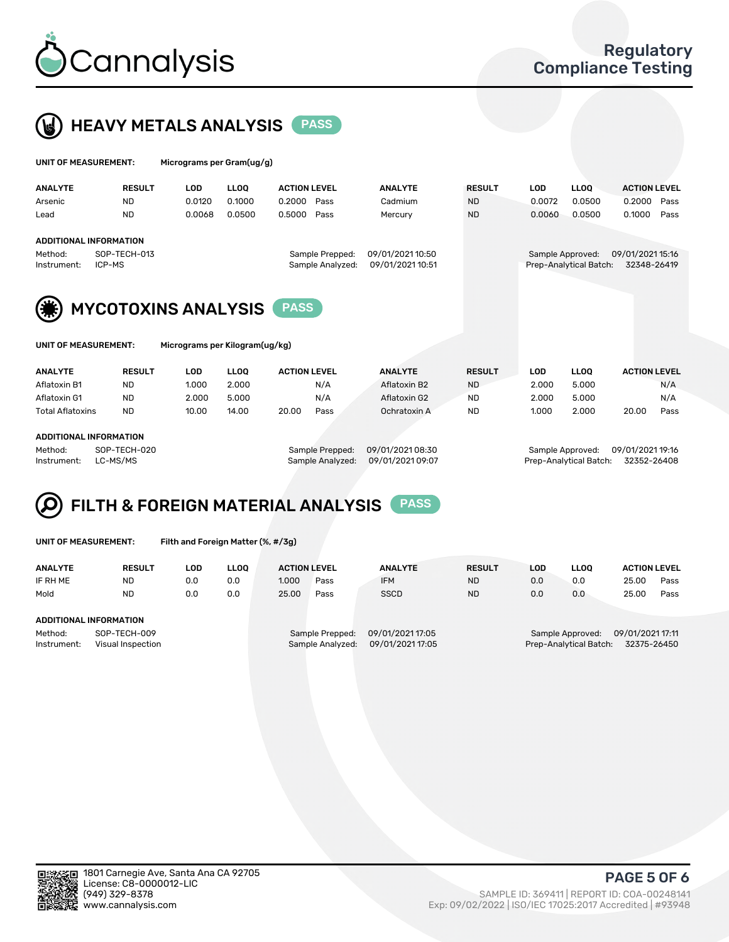



| UNIT OF MEASUREMENT:   |                               | Micrograms per Gram(ug/g) |             |                                     |                                      |               |            |                                            |                                 |      |
|------------------------|-------------------------------|---------------------------|-------------|-------------------------------------|--------------------------------------|---------------|------------|--------------------------------------------|---------------------------------|------|
| <b>ANALYTE</b>         | <b>RESULT</b>                 | <b>LOD</b>                | <b>LLOO</b> | <b>ACTION LEVEL</b>                 | <b>ANALYTE</b>                       | <b>RESULT</b> | <b>LOD</b> | <b>LLOO</b>                                | <b>ACTION LEVEL</b>             |      |
| Arsenic                | <b>ND</b>                     | 0.0120                    | 0.1000      | 0.2000<br>Pass                      | Cadmium                              | <b>ND</b>     | 0.0072     | 0.0500                                     | 0.2000                          | Pass |
| Lead                   | <b>ND</b>                     | 0.0068                    | 0.0500      | 0.5000<br>Pass                      | Mercury                              | <b>ND</b>     | 0.0060     | 0.0500                                     | 0.1000                          | Pass |
|                        | <b>ADDITIONAL INFORMATION</b> |                           |             |                                     |                                      |               |            |                                            |                                 |      |
| Method:<br>Instrument: | SOP-TECH-013<br>ICP-MS        |                           |             | Sample Prepped:<br>Sample Analyzed: | 09/01/2021 10:50<br>09/01/2021 10:51 |               |            | Sample Approved:<br>Prep-Analytical Batch: | 09/01/2021 15:16<br>32348-26419 |      |



| UNII UF MEASUREMENI: |
|----------------------|
|                      |

Micrograms per Kilogram(ug/kg)

| <b>ANALYTE</b>          | <b>RESULT</b> | LOD.  | LLOO  | <b>ACTION LEVEL</b> |      | <b>ANALYTE</b> | <b>RESULT</b> | LOD   | <b>LLOO</b> | <b>ACTION LEVEL</b> |      |
|-------------------------|---------------|-------|-------|---------------------|------|----------------|---------------|-------|-------------|---------------------|------|
| Aflatoxin B1            | <b>ND</b>     | 1.000 | 2.000 |                     | N/A  | Aflatoxin B2   | <b>ND</b>     | 2.000 | 5.000       |                     | N/A  |
| Aflatoxin G1            | <b>ND</b>     | 2.000 | 5.000 |                     | N/A  | Aflatoxin G2   | <b>ND</b>     | 2.000 | 5.000       |                     | N/A  |
| <b>Total Aflatoxins</b> | <b>ND</b>     | 10.00 | 14.00 | 20.00               | Pass | Ochratoxin A   | <b>ND</b>     | 1.000 | 2.000       | 20.00               | Pass |
|                         |               |       |       |                     |      |                |               |       |             |                     |      |

#### ADDITIONAL INFORMATION

Method: SOP-TECH-020 Sample Prepped: 09/01/2021 08:30 Sample Approved: 09/01/2021 19:16 Instrument: LC-MS/MS Sample Analyzed: 09/01/2021 09:07 Prep-Analytical Batch: 32352-26408

# FILTH & FOREIGN MATERIAL ANALYSIS PASS

UNIT OF MEASUREMENT: Filth and Foreign Matter (%, #/3g)

| <b>ANALYTE</b>         | <b>RESULT</b>                     | LOD. | <b>LLOO</b> | <b>ACTION LEVEL</b> |                                     | <b>ANALYTE</b>                       | <b>RESULT</b> | LOD | <b>LLOO</b>                                | <b>ACTION LEVEL</b>             |      |
|------------------------|-----------------------------------|------|-------------|---------------------|-------------------------------------|--------------------------------------|---------------|-----|--------------------------------------------|---------------------------------|------|
| IF RH ME               | <b>ND</b>                         | 0.0  | 0.0         | 1.000               | Pass                                | <b>IFM</b>                           | <b>ND</b>     | 0.0 | 0.0                                        | 25.00                           | Pass |
| Mold                   | <b>ND</b>                         | 0.0  | 0.0         | 25.00               | Pass                                | <b>SSCD</b>                          | <b>ND</b>     | 0.0 | 0.0                                        | 25.00                           | Pass |
| ADDITIONAL INFORMATION |                                   |      |             |                     |                                     |                                      |               |     |                                            |                                 |      |
| Method:<br>Instrument: | SOP-TECH-009<br>Visual Inspection |      |             |                     | Sample Prepped:<br>Sample Analyzed: | 09/01/2021 17:05<br>09/01/2021 17:05 |               |     | Sample Approved:<br>Prep-Analytical Batch: | 09/01/2021 17:11<br>32375-26450 |      |



PAGE 5 OF 6